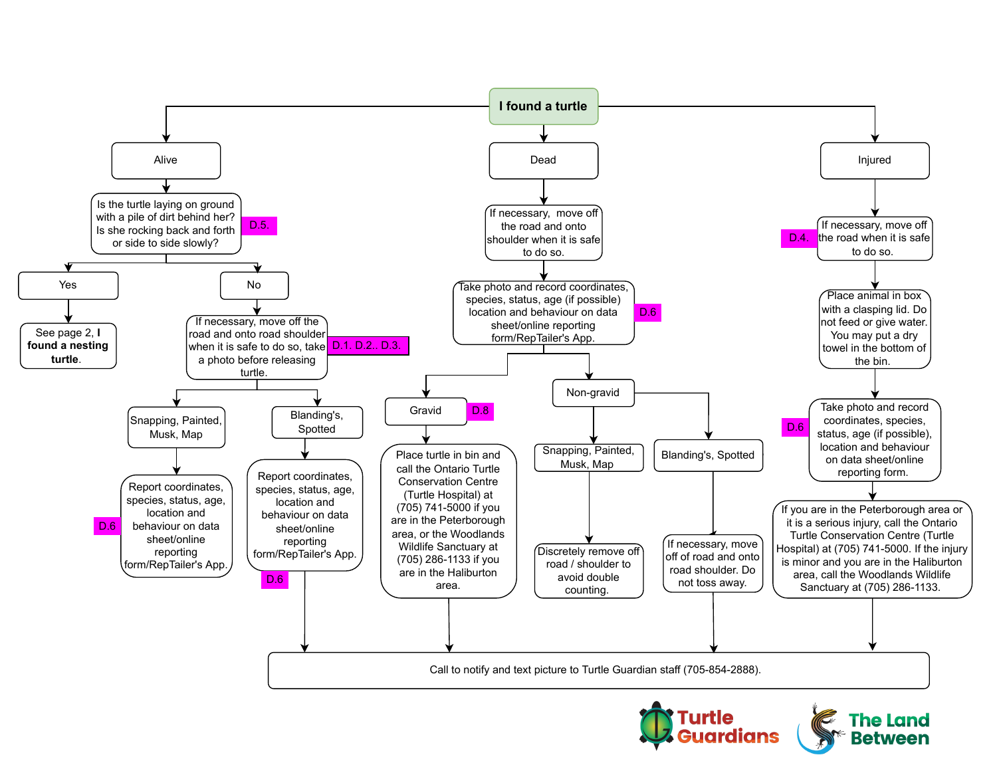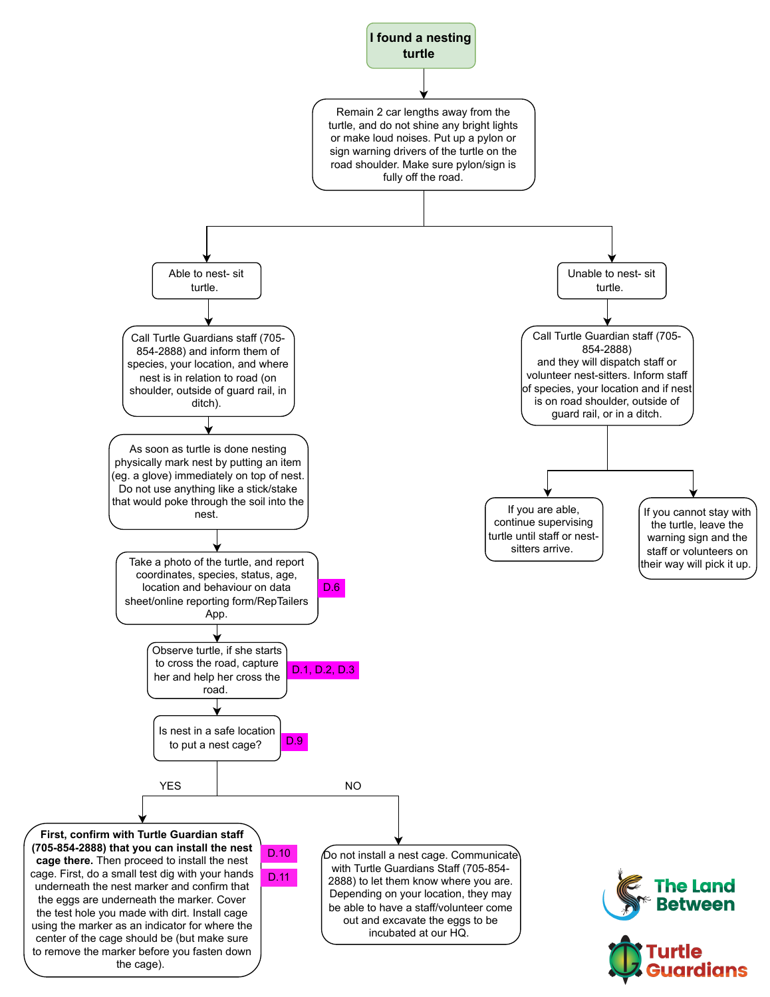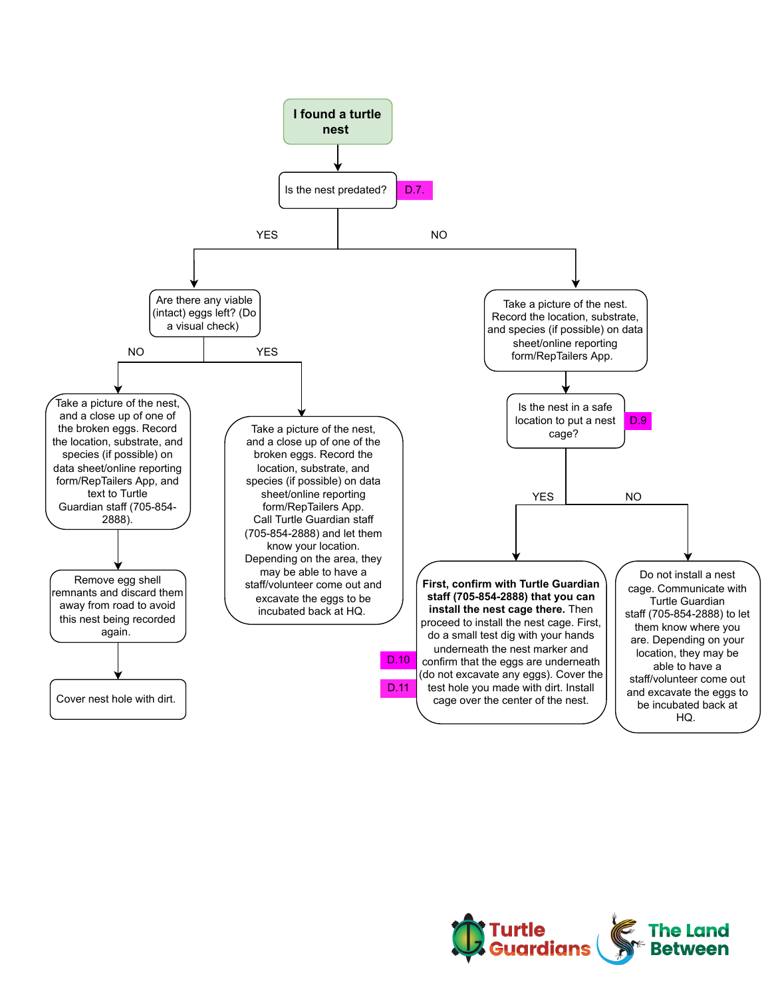